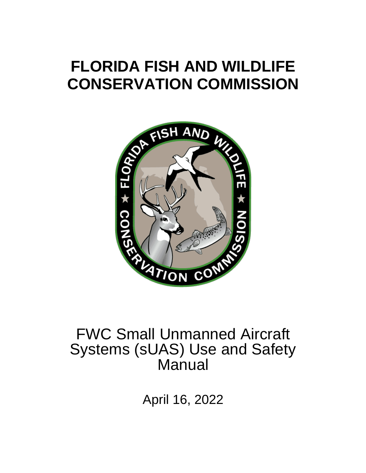# **FLORIDA FISH AND WILDLIFE CONSERVATION COMMISSION**



# FWC Small Unmanned Aircraft Systems (sUAS) Use and Safety Manual

April 16, 2022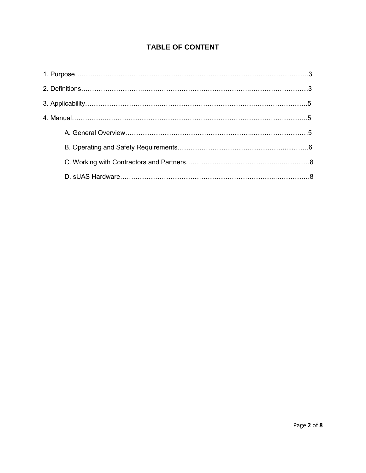### **TABLE OF CONTENT**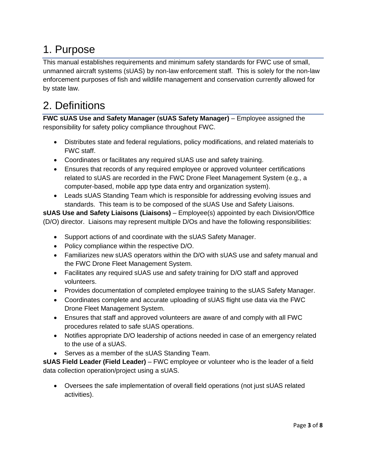## 1. Purpose

This manual establishes requirements and minimum safety standards for FWC use of small, unmanned aircraft systems (sUAS) by non-law enforcement staff. This is solely for the non-law enforcement purposes of fish and wildlife management and conservation currently allowed for by state law.

## 2. Definitions

**FWC sUAS Use and Safety Manager (sUAS Safety Manager)** – Employee assigned the responsibility for safety policy compliance throughout FWC.

- Distributes state and federal regulations, policy modifications, and related materials to FWC staff.
- Coordinates or facilitates any required sUAS use and safety training.
- Ensures that records of any required employee or approved volunteer certifications related to sUAS are recorded in the FWC Drone Fleet Management System (e.g., a computer-based, mobile app type data entry and organization system).
- Leads sUAS Standing Team which is responsible for addressing evolving issues and standards. This team is to be composed of the sUAS Use and Safety Liaisons.

**sUAS Use and Safety Liaisons (Liaisons)** – Employee(s) appointed by each Division/Office (D/O) director. Liaisons may represent multiple D/Os and have the following responsibilities:

- Support actions of and coordinate with the sUAS Safety Manager.
- Policy compliance within the respective D/O.
- Familiarizes new sUAS operators within the D/O with sUAS use and safety manual and the FWC Drone Fleet Management System.
- Facilitates any required sUAS use and safety training for D/O staff and approved volunteers.
- Provides documentation of completed employee training to the sUAS Safety Manager.
- Coordinates complete and accurate uploading of sUAS flight use data via the FWC Drone Fleet Management System.
- Ensures that staff and approved volunteers are aware of and comply with all FWC procedures related to safe sUAS operations.
- Notifies appropriate D/O leadership of actions needed in case of an emergency related to the use of a sUAS.
- Serves as a member of the sUAS Standing Team.

**sUAS Field Leader (Field Leader)** – FWC employee or volunteer who is the leader of a field data collection operation/project using a sUAS.

 Oversees the safe implementation of overall field operations (not just sUAS related activities).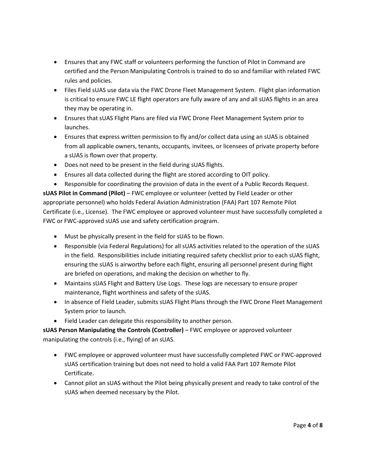- Ensures that any FWC staff or volunteers performing the function of Pilot in Command are certified and the Person Manipulating Controls is trained to do so and familiar with related FWC rules and policies.
- Files Field sUAS use data via the FWC Drone Fleet Management System. Flight plan information is critical to ensure FWC LE flight operators are fully aware of any and all sUAS flights in an area they may be operating in.
- Ensures that sUAS Flight Plans are filed via FWC Drone Fleet Management System prior to launches.
- Ensures that express written permission to fly and/or collect data using an sUAS is obtained from all applicable owners, tenants, occupants, invitees, or licensees of private property before a sUAS is flown over that property.
- Does not need to be present in the field during sUAS flights.
- Ensures all data collected during the flight are stored according to OIT policy.
- Responsible for coordinating the provision of data in the event of a Public Records Request.

**sUAS Pilot in Command (Pilot)** – FWC employee or volunteer (vetted by Field Leader or other appropriate personnel) who holds Federal Aviation Administration (FAA) Part 107 Remote Pilot Certificate (i.e., License). The FWC employee or approved volunteer must have successfully completed a FWC or FWC-approved sUAS use and safety certification program.

- Must be physically present in the field for sUAS to be flown.
- Responsible (via Federal Regulations) for all sUAS activities related to the operation of the sUAS in the field. Responsibilities include initiating required safety checklist prior to each sUAS flight, ensuring the sUAS is airworthy before each flight, ensuring all personnel present during flight are briefed on operations, and making the decision on whether to fly.
- Maintains sUAS Flight and Battery Use Logs. These logs are necessary to ensure proper maintenance, flight worthiness and safety of the sUAS.
- In absence of Field Leader, submits sUAS Flight Plans through the FWC Drone Fleet Management System prior to launch.
- Field Leader can delegate this responsibility to another person.

**sUAS Person Manipulating the Controls (Controller)** – FWC employee or approved volunteer manipulating the controls (i.e., flying) of an sUAS.

- FWC employee or approved volunteer must have successfully completed FWC or FWC-approved sUAS certification training but does not need to hold a valid FAA Part 107 Remote Pilot Certificate.
- Cannot pilot an sUAS without the Pilot being physically present and ready to take control of the sUAS when deemed necessary by the Pilot.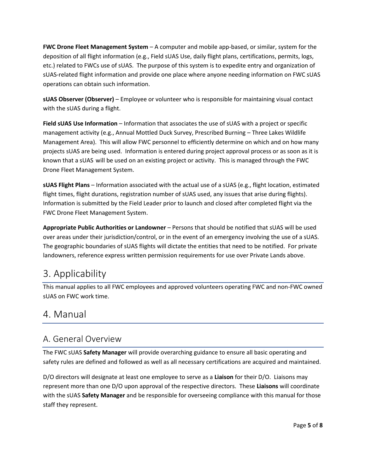**FWC Drone Fleet Management System** – A computer and mobile app-based, or similar, system for the deposition of all flight information (e.g., Field sUAS Use, daily flight plans, certifications, permits, logs, etc.) related to FWCs use of sUAS. The purpose of this system is to expedite entry and organization of sUAS-related flight information and provide one place where anyone needing information on FWC sUAS operations can obtain such information.

**sUAS Observer (Observer)** – Employee or volunteer who is responsible for maintaining visual contact with the sUAS during a flight.

**Field sUAS Use Information** – Information that associates the use of sUAS with a project or specific management activity (e.g., Annual Mottled Duck Survey, Prescribed Burning – Three Lakes Wildlife Management Area). This will allow FWC personnel to efficiently determine on which and on how many projects sUAS are being used. Information is entered during project approval process or as soon as it is known that a sUAS will be used on an existing project or activity. This is managed through the FWC Drone Fleet Management System.

**sUAS Flight Plans** – Information associated with the actual use of a sUAS (e.g., flight location, estimated flight times, flight durations, registration number of sUAS used, any issues that arise during flights). Information is submitted by the Field Leader prior to launch and closed after completed flight via the FWC Drone Fleet Management System.

**Appropriate Public Authorities or Landowner** – Persons that should be notified that sUAS will be used over areas under their jurisdiction/control, or in the event of an emergency involving the use of a sUAS. The geographic boundaries of sUAS flights will dictate the entities that need to be notified. For private landowners, reference express written permission requirements for use over Private Lands above.

## 3. Applicability

This manual applies to all FWC employees and approved volunteers operating FWC and non-FWC owned sUAS on FWC work time.

## 4. Manual

## A. General Overview

The FWC sUAS **Safety Manager** will provide overarching guidance to ensure all basic operating and safety rules are defined and followed as well as all necessary certifications are acquired and maintained.

D/O directors will designate at least one employee to serve as a **Liaison** for their D/O. Liaisons may represent more than one D/O upon approval of the respective directors. These **Liaisons** will coordinate with the sUAS **Safety Manager** and be responsible for overseeing compliance with this manual for those staff they represent.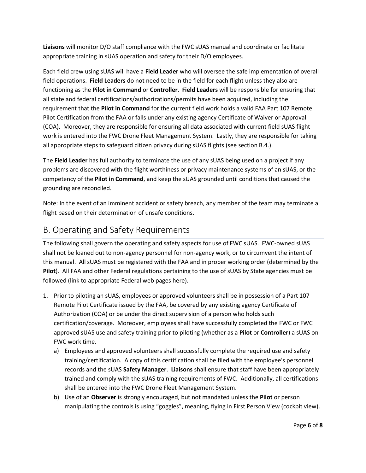**Liaisons** will monitor D/O staff compliance with the FWC sUAS manual and coordinate or facilitate appropriate training in sUAS operation and safety for their D/O employees.

Each field crew using sUAS will have a **Field Leader** who will oversee the safe implementation of overall field operations. **Field Leaders** do not need to be in the field for each flight unless they also are functioning as the **Pilot in Command** or **Controller**. **Field Leaders** will be responsible for ensuring that all state and federal certifications/authorizations/permits have been acquired, including the requirement that the **Pilot in Command** for the current field work holds a valid FAA Part 107 Remote Pilot Certification from the FAA or falls under any existing agency Certificate of Waiver or Approval (COA). Moreover, they are responsible for ensuring all data associated with current field sUAS flight work is entered into the FWC Drone Fleet Management System. Lastly, they are responsible for taking all appropriate steps to safeguard citizen privacy during sUAS flights (see section B.4.).

The **Field Leader** has full authority to terminate the use of any sUAS being used on a project if any problems are discovered with the flight worthiness or privacy maintenance systems of an sUAS, or the competency of the **Pilot in Command**, and keep the sUAS grounded until conditions that caused the grounding are reconciled.

Note: In the event of an imminent accident or safety breach, any member of the team may terminate a flight based on their determination of unsafe conditions.

### B. Operating and Safety Requirements

The following shall govern the operating and safety aspects for use of FWC sUAS. FWC-owned sUAS shall not be loaned out to non-agency personnel for non-agency work, or to circumvent the intent of this manual. All sUAS must be registered with the FAA and in proper working order (determined by the **Pilot**). All FAA and other Federal regulations pertaining to the use of sUAS by State agencies must be followed (link to appropriate Federal web pages here).

- 1. Prior to piloting an sUAS, employees or approved volunteers shall be in possession of a Part 107 Remote Pilot Certificate issued by the FAA, be covered by any existing agency Certificate of Authorization (COA) or be under the direct supervision of a person who holds such certification/coverage. Moreover, employees shall have successfully completed the FWC or FWC approved sUAS use and safety training prior to piloting (whether as a **Pilot** or **Controller**) a sUAS on FWC work time.
	- a) Employees and approved volunteers shall successfully complete the required use and safety training/certification. A copy of this certification shall be filed with the employee's personnel records and the sUAS **Safety Manager**. **Liaisons** shall ensure that staff have been appropriately trained and comply with the sUAS training requirements of FWC. Additionally, all certifications shall be entered into the FWC Drone Fleet Management System.
	- b) Use of an **Observer** is strongly encouraged, but not mandated unless the **Pilot** or person manipulating the controls is using "goggles", meaning, flying in First Person View (cockpit view).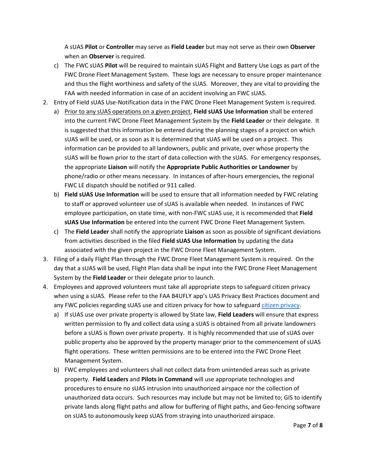A sUAS **Pilot** or **Controller** may serve as **Field Leader** but may not serve as their own **Observer** when an **Observer** is required.

- c) The FWC sUAS **Pilot** will be required to maintain sUAS Flight and Battery Use Logs as part of the FWC Drone Fleet Management System. These logs are necessary to ensure proper maintenance and thus the flight worthiness and safety of the sUAS. Moreover, they are vital to providing the FAA with needed information in case of an accident involving an FWC sUAS.
- 2. Entry of Field sUAS Use-Notification data in the FWC Drone Fleet Management System is required.
	- a) Prior to any sUAS operations on a given project, **Field sUAS Use Information** shall be entered into the current FWC Drone Fleet Management System by the **Field Leader** or their delegate. It is suggested that this information be entered during the planning stages of a project on which sUAS will be used, or as soon as it is determined that sUAS will be used on a project. This information can be provided to all landowners, public and private, over whose property the sUAS will be flown prior to the start of data collection with the sUAS. For emergency responses, the appropriate **Liaison** will notify the **Appropriate Public Authorities or Landowner** by phone/radio or other means necessary. In instances of after-hours emergencies, the regional FWC LE dispatch should be notified or 911 called.
	- b) **Field sUAS Use Information** will be used to ensure that all information needed by FWC relating to staff or approved volunteer use of sUAS is available when needed. In instances of FWC employee participation, on state time, with non-FWC sUAS use, it is recommended that **Field sUAS Use Information** be entered into the current FWC Drone Fleet Management System.
	- c) The **Field Leader** shall notify the appropriate **Liaison** as soon as possible of significant deviations from activities described in the filed **Field sUAS Use Information** by updating the data associated with the given project in the FWC Drone Fleet Management System.
- 3. Filing of a daily Flight Plan through the FWC Drone Fleet Management System is required. On the day that a sUAS will be used, Flight Plan data shall be input into the FWC Drone Fleet Management System by the **Field Leader** or their delegate prior to launch.
- 4. Employees and approved volunteers must take all appropriate steps to safeguard citizen privacy when using a sUAS. Please refer to the FAA B4UFLY app's UAS Privacy Best Practices document and any FWC policies regarding sUAS use and citizen privacy for how to safeguard [citizen privacy.](https://www.faa.gov/uas/recreational_fliers/where_can_i_fly/b4ufly/)
	- a) If sUAS use over private property is allowed by State law, **Field Leaders** will ensure that express written permission to fly and collect data using a sUAS is obtained from all private landowners before a sUAS is flown over private property. It is highly recommended that use of sUAS over public property also be approved by the property manager prior to the commencement of sUAS flight operations. These written permissions are to be entered into the FWC Drone Fleet Management System.
	- b) FWC employees and volunteers shall not collect data from unintended areas such as private property. **Field Leaders** and **Pilots in Command** will use appropriate technologies and procedures to ensure no sUAS intrusion into unauthorized airspace nor the collection of unauthorized data occurs. Such resources may include but may not be limited to; GIS to identify private lands along flight paths and allow for buffering of flight paths, and Geo-fencing software on sUAS to autonomously keep sUAS from straying into unauthorized airspace.